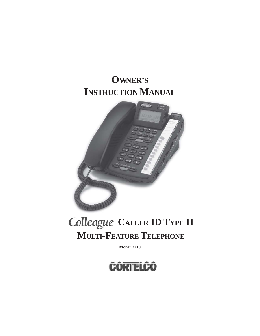# **OWNER'S INSTRUCTION MANUAL**



# Colleague CALLER **ID TYPE II MULTI-FEATURE TELEPHONE**

**MODEL 2210**

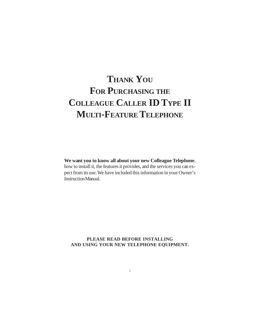# **THANK YOU FOR PURCHASING THE COLLEAGUE CALLER ID TYPE II MULTI-FEATURE TELEPHONE**

**We want you to know all about your new Colleague Telephone**, how to install it, the features it provides, and the services you can expect from its use. We have included this information in your Owner's Instruction Manual.

**PLEASE READ BEFORE INSTALLING AND USING YOUR NEW TELEPHONE EQUIPMENT.**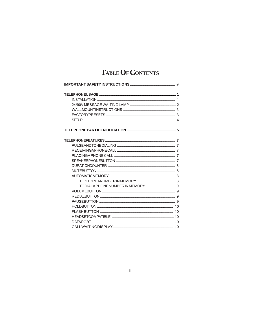## TABLE OF CONTENTS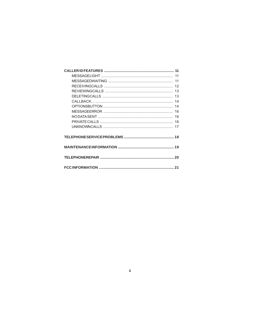$\dddot{\mathbf{H}}$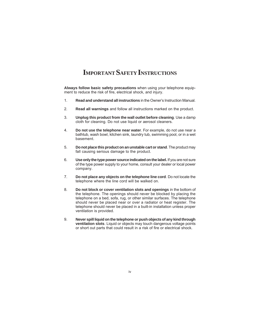## **IMPORTANT SAFETY INSTRUCTIONS**

**Always follow basic safety precautions** when using your telephone equipment to reduce the risk of fire, electrical shock, and injury.

- 1. **Read and understand all instructions** in the Owner's Instruction Manual.
- 2. **Read all warnings** and follow all instructions marked on the product.
- 3. **Unplug this product from the wall outlet before cleaning**. Use a damp cloth for cleaning. Do not use liquid or aerosol cleaners.
- 4. **Do not use the telephone near water**. For example, do not use near a bathtub, wash bowl, kitchen sink, laundry tub, swimming pool, or in a wet basement.
- 5. **Do not place this product on an unstable cart or stand**. The product may fall causing serious damage to the product.
- 6. **Use only the type power source indicated on the label.** If you are not sure of the type power supply to your home, consult your dealer or local power company.
- 7. **Do not place any objects on the telephone line cord**. Do not locate the telephone where the line cord will be walked on.
- 8. **Do not block or cover ventilation slots and openings** in the bottom of the telephone. The openings should never be blocked by placing the telephone on a bed, sofa, rug, or other similar surfaces. The telephone should never be placed near or over a radiator or heat register. The telephone should never be placed in a built-in installation unless proper ventilation is provided.
- 9. **Never spill liquid on the telephone or push objects of any kind through ventilation slots**. Liquid or objects may touch dangerous voltage points or short out parts that could result in a risk of fire or electrical shock.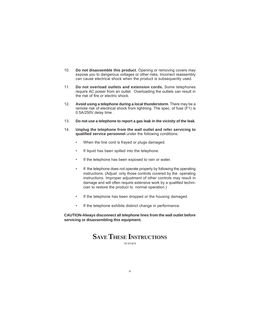- 10. **Do not disassemble this product**. Opening or removing covers may expose you to dangerous voltages or other risks. Incorrect reassembly can cause electrical shock when the product is subsequently used.
- 11. **Do not overload outlets and extension cords.** Some telephones require AC power from an outlet. Overloading the outlets can result in the risk of fire or electric shock.
- 12. **Avoid using a telephone during a local thunderstorm**. There may be a remote risk of electrical shock from lightning. The spec. of fuse (F1) is 0.5A/250V delay time .
- 13. **Do not use a telephone to report a gas leak in the vicinity of the leak**.
- 14. **Unplug the telephone from the wall outlet and refer servicing to qualified service personnel** under the following conditions:
	- When the line cord is frayed or plugs damaged.
	- If liquid has been spilled into the telephone.
	- If the telephone has been exposed to rain or water.
	- If the telephone does not operate properly by following the operating instructions. (Adjust only those controls covered by the operating instructions. Improper adjustment of other controls may result in damage and will often require extensive work by a qualified technician to restore the product to normal operation.)
	- If the telephone has been dropped or the housing damaged.
	- If the telephone exhibits distinct change in performance.

**CAUTION-Always disconnect all telephone lines from the wall outlet before servicing or disassembling this equipment.**

## **SAVE THESE INSTRUCTIONS**

15-101-613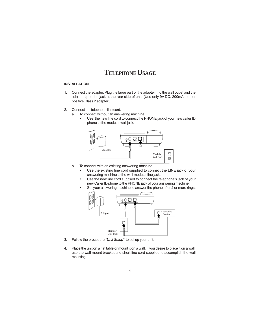## **TELEPHONE USAGE**

#### **INSTALLATION**

- 1. Connect the adapter. Plug the large part of the adapter into the wall outlet and the adapter tip to the jack at the rear side of unit. (Use only 9V DC. 200mA, center positive Class 2 adapter.)
- 2. Connect the telephone line cord.
	- a. To connect without an answering machine.
		- Use the new line cord to connect the PHONE jack of your new caller ID phone to the modular wall jack.



- b. To connect with an existing answering machine.
	- Use the existing line cord supplied to connect the LINE jack of your answering machine to the wall modular line jack.
	- Use the new line cord supplied to connect the telephone's jack of your new Caller ID phone to the PHONE jack of your answering machine.
	- Set your answering machine to answer the phone after 2 or more rings.



- 3. Follow the procedure "Unit Setup" to set up your unit.
- 4. Place the unit on a flat table or mount it on a wall. If you desire to place it on a wall, use the wall mount bracket and short line cord supplied to accomplish the wall mounting.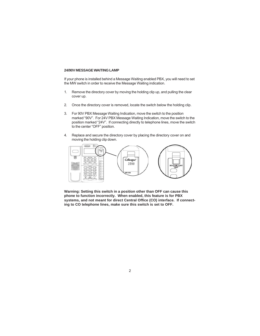#### **24/90V MESSAGE WAITING LAMP**

If your phone is installed behind a Message Waiting enabled PBX, you will need to set the MW switch in order to receive the Message Waiting indication.

- 1. Remove the directory cover by moving the holding clip up, and pulling the clear cover up.
- 2. Once the directory cover is removed, locate the switch below the holding clip.
- 3. For 90V PBX Message Waiting Indication, move the switch to the position marked "90V". For 24V PBX Message Waiting Indication, move the switch to the position marked "24V". If connecting directly to telephone lines, move the switch to the center "OFF" position.
- 4. Replace and secure the directory cover by placing the directory cover on and moving the holding clip down.



**Warning: Setting this switch in a position other than OFF can cause this phone to function incorrectly. When enabled, this feature is for PBX systems, and not meant for direct Central Office (CO) interface. If connecting to CO telephone lines, make sure this switch is set to OFF.**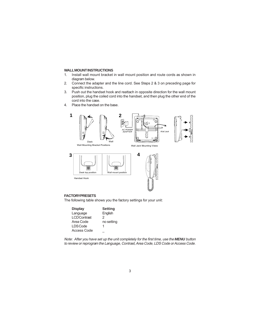#### **WALL MOUNT INSTRUCTIONS**

- 1. Install wall mount bracket in wall mount position and route cords as shown in diagram below.
- 2. Connect the adapter and the line cord. See Steps 2 & 3 on preceding page for specific instructions.
- 3. Push out the handset hook and reattach in opposite direction for the wall mount position, plug the coiled cord into the handset, and then plug the other end of the cord into the case.
- 4. Place the handset on the base.



#### **FACTORY PRESETS**

The following table shows you the factory settings for your unit:

| <b>Display</b>     | <b>Setting</b> |
|--------------------|----------------|
| Language           | English        |
| <b>LCDContrast</b> | 2              |
| Area Code          | no setting     |
| LDS Code           |                |
| Access Code        |                |

Note: After you have set up the unit completely for the first time, use the *MENU* button to review or reprogram the Language, Contrast, Area Code, LDS Code or Access Code.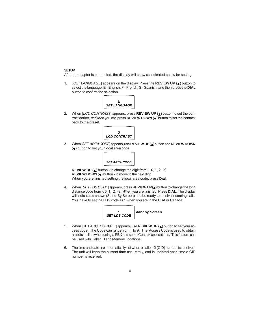#### **SETUP**

After the adapter is connected, the display will show as indicated below for setting

1. [SET LANGUAGE] appears on the display. Press the **REVIEW UP** (A) button to select the language. E - English, F - French, S - Spanish, and then press the **DIAL** button to confirm the selection.



2. When [LCD CONTRAST] appears, press **REVIEW UP** (A) button to set the contrast darker, and then you can press **REVIEW DOWN** (v) button to set the contrast back to the preset.



3. When [SET AREA CODE] appears, use **REVIEW UP** (A) button and **REVIEW DOWN**  $\left(\bigtriangledown\right)$  button to set your local area code.



**REVIEW UP**  $(\triangle)$  button - to change the digit from -. 0, 1, 2, -9 **REVIEW DOWN**  $(\blacktriangledown)$  button - to move to the next digit. When you are finished setting the local area code, press **Dial**.

4. When [SET LDS CODE] appears, press **REVIEW UP(A)** button to change the long distance code from -, 0, 1, 2, -9. When you are finished, Press **DIAL**. The display will indicate as shown (Stand-By Screen) and be ready to receive incoming calls. You have to set the LDS code as 1 when you are in the USA or Canada.



- 5. When [SET ACCESS CODE] appears, use **REVIEW UP** (A) button to set your access code. The Code can range from \_ to 9. The Access Code is used to obtain an outside line when using a PBX and some Centrex applications. This feature can be used with Caller ID and Memory Locations.
- 6. The time and date are automatically set when a caller ID (CID) number is received. The unit will keep the current time accurately, and is updated each time a CID number is received.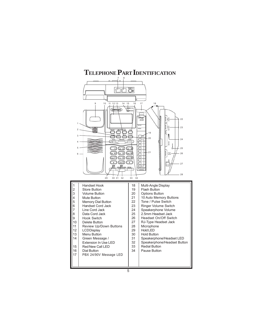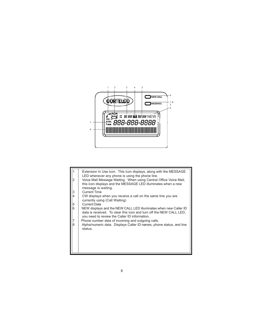

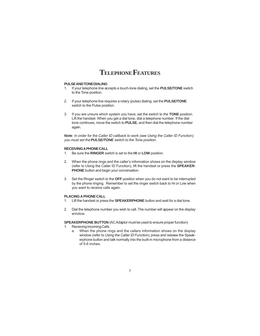## **TELEPHONE FEATURES**

#### **PULSE AND TONE DIALING**

- 1. If your telephone line accepts a touch-tone dialing, set the **PULSE/TONE** switch to the Tone position.
- 2. If your telephone line requires a rotary (pulse) dialing, set the **PULSE/TONE** switch to the Pulse position.
- 3. If you are unsure which system you have, set the switch to the **TONE** position. Lift the handset. When you get a dial tone, dial a telephone number. If the dial tone continues, move the switch to **PULSE**, and then dial the telephone number again.

*Note*: In order for the Caller ID callback to work (see Using the Caller ID Function), you must set the *PULSE/TONE* switch to the Tone position.

#### **RECEIVING A PHONE CALL**

- 1. Be sure the **RINGER** switch is set to the **HI** or **LOW** position.
- 2. When the phone rings and the caller's information shows on the display window (refer to Using the Caller ID Function), lift the handset or press the **SPEAKER-PHONE** button and begin your conversation.
- 3. Set the Ringer switch to the **OFF** position when you do not want to be interrupted by the phone ringing. Remember to set the ringer switch back to Hi or Low when you want to receive calls again.

#### **PLACING A PHONE CALL**

- 1. Lift the handset or press the **SPEAKERPHONE** button and wait for a dial tone.
- 2. Dial the telephone number you wish to call. The number will appear on the display window.

**SPEAKERPHONE BUTTON** (AC Adaptor must be used to ensure proper function)

- 1. Receiving Incoming Calls
	- a. When the phone rings and the callers information shows on the display window (refer to Using the Caller ID Function), press and release the Speakerphone button and talk normally into the built-in microphone from a distance of 5-6 inches.

7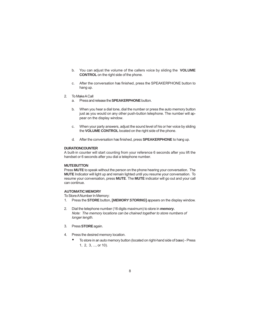- b. You can adjust the volume of the callers voice by sliding the **VOLUME CONTROL** on the right side of the phone.
- c. After the conversation has finished, press the SPEAKERPHONE button to hang up.
- 2. To Make A Call
	- a. Press and release the **SPEAKERPHONE** button.
	- b. When you hear a dial tone, dial the number or press the auto memory button just as you would on any other push-button telephone. The number will appear on the display window.
	- c. When your party answers, adjust the sound level of his or her voice by sliding the **VOLUME CONTROL** located on the right side of the phone.
	- d. After the conversation has finished, press **SPEAKERPHONE** to hang up.

#### **DURATION COUNTER**

A built-in counter will start counting from your reference 6 seconds after you lift the handset or 6 seconds after you dial a telephone number.

#### **MUTE BUTTON**

Press **MUTE** to speak without the person on the phone hearing your conversation. The **MUTE** Indicator will light up and remain lighted until you resume your conversation. To resume your conversation, press **MUTE**. The **MUTE** indicator will go out and your call can continue.

#### **AUTOMATIC MEMORY**

To Store A Number In Memory:

- 1. Press the **STORE** button, **[***MEMORY STORING***]** appears on the display window.
- 2. Dial the telephone number (16 digits maximum) to store in *memory.* Note: The memory locations can be chained together to store numbers of longer length.
- 3. Press **STORE** again.
- 4. Press the desired memory location.
	- To store in an auto memory button (located on right-hand side of base) Press 1, 2, 3, ..., or 10).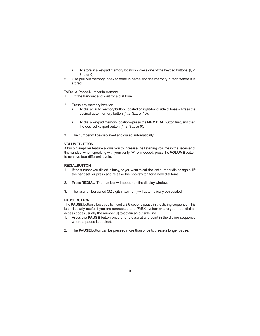- To store in a keypad memory location Press one of the keypad buttons (l, 2, 3.... or 0).
- 5. Use pull out memory index to write in name and the memory button where it is stored.

To Dial A Phone Number In Memory

- 1. Lift the handset and wait for a dial tone.
- 2. Press any memory location.
	- To dial an auto memory button (located on right-band side of base) Press the desired auto memory button (1, 2, 3.... or 10).
	- To dial a keypad memory location press the **MEM DIAL** button first, and then the desired keypad button (1, 2, 3.... or 0).
- 3. The number will be displayed and dialed automatically.

#### **VOLUME BUTTON**

A built-in amplifier feature allows you to increase the listening volume in the receiver of the handset when speaking with your party. When needed, press the **VOLUME** button to achieve four different levels.

#### **REDIAL BUTTON**

- 1. If the number you dialed is busy, or you want to call the last number dialed again, lift the handset, or press and release the hookswitch for a new dial tone.
- 2. Press **REDIAL**. The number will appear on the display window.
- 3. The last number called (32 digits maximum) will automatically be redialed.

#### **PAUSE BUTTON**

The **PAUSE** button allows you to insert a 3.6-second pause in the dialing sequence. This is particularly useful if you are connected to a PABX system where you must dial an access code (usually the number 9) to obtain an outside line.

- 1. Press the **PAUSE** button once and release at any point in the dialing sequence where a pause is desired.
- 2. The **PAUSE** button can be pressed more than once to create a longer pause.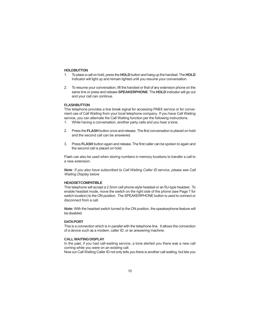#### **HOLD BUTTON**

- 1. To place a call on hold, press the **HOLD** button and hang up the handset. The **HOLD** Indicator will light up and remain lighted until you resume your conversation.
- 2. To resume your conversation, lift the handset or that of any extension phone on the same line or press and release **SPEAKERPHONE**. The **HOLD** indicator will go out and your call can continue.

#### **FLASH BUTTON**

This telephone provides a line break signal for accessing PABX service or for convenient use of Call Waiting from your local telephone company. If you have Call Waiting service, you can alternate the Call Waiting function per the following instructions.

- 1. While having a conversation, another party calls and you hear a tone.
- 2. Press the **FLASH** button once and release. The first conversation is placed on hold and the second call can be answered.
- 3. Press **FLASH** button again and release. The first caller can be spoken to again and the second call is placed on hold.

Flash can also be used when storing numbers in memory locations to transfer a call to a new extension.

*Note*: If you also have subscribed to Call Waiting Caller ID service, please see Call Waiting Display below

#### **HEADSET COMPATIBLE**

This telephone will accept a 2.5mm cell phone-style headset or an RJ-type headset. To enable headset mode, move the switch on the right side of the phone (see Page 7 for switch location) to the ON position. The SPEAKERPHONE button is used to connect or disconnect from a call.

*Note:* With the headset switch turned to the ON position, the speakerphone feature will be disabled.

#### **DATA PORT**

This is a connection which is in parallel with the telephone line. It allows the connection of a device such as a modem, caller ID, or an answering machine.

#### **CALL WAITING DISPLAY**

In the past, if you had call-waiting service, a tone alerted you there was a new call coming while you were on an existing call.

Now our Call Waiting Caller ID not only tells you there is another call waiting, but lets you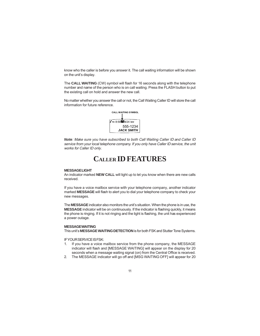know who the caller is before you answer it. The call waiting information will be shown on the unit's display.

The **CALL WAITING** (CW) symbol will flash for 16 seconds along with the telephone number and name of the person who is on call waiting. Press the FLASH button to put the existing call on hold and answer the new call.

No matter whether you answer the call or not, the Call Waiting Caller ID will store the call information for future reference.



*Note*: Make sure you have subscribed to both Call Waiting Caller ID and Caller ID service from your local telephone company. If you only have Caller ID service, the unit works for Caller ID only.

## **CALLER ID FEATURES**

#### **MESSAGE LIGHT**

An indicator marked **NEW CALL** will light up to let you know when there are new calls received.

If you have a voice mailbox service with your telephone company, another indicator marked **MESSAGE** will flash to alert you to dial your telephone company to check your new messages.

The **MESSAGE** indicator also monitors the unit's situation. When the phone is in use, the **MESSAGE** indicator will be on continuously. If the indicator is flashing quickly, it means the phone is ringing. If it is not ringing and the light is flashing, the unit has experienced a power outage.

#### **MESSAGE WAITING**

This unit's **MESSAGE WAITING DETECTION** is for both FSK and Stutter Tone Systems.

IF YOUR SERVICE IS FSK:

- 1. If you have a voice mailbox service from the phone company, the MESSAGE indicator will flash and [MESSAGE WAITING] will appear on the display for 20 seconds when a message waiting signal (on) from the Central Office is received.
- 2. The MESSAGE indicator will go off and [MSG WAITING OFF] will appear for 20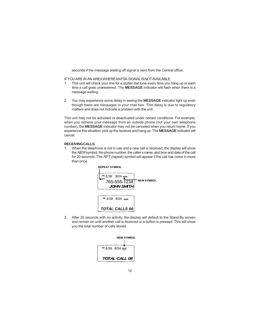seconds if the message waiting off signal is sent from the Central office.

IF YOU ARE IN AN AREA WHERE AN FSK SIGNAL IS NOT AVAILABLE:

- 1. This unit will check your line for a stutter dial tone every time you hang up or each time a call goes unanswered. The **MESSAGE** indicator will flash when there is a message waiting.
- 2. You may experience some delay in seeing the **MESSAGE** indicator light up even though there are messages in your rnail box. This delay is due to regulatory matters and does not indicate a problem with the unit.

This unit may not be activated or deactivated under certain conditions. For example, when you retrieve your message from an outside phone (not your own telephone number), the **MESSAGE** indicator may not be canceled when you return home. If you experience this situation, pick up the receiver and hang up. The **MESSAGE** indicator will cancel.

#### **RECEIVING CALLS**

1. When the telephone is not in use and a new call is received, the display will show the NEW symbol, the phone number, the caller s name, and time and date of the call for 20 seconds. The RPT (repeat) symbol will appear if the call has come in more than once.



2. After 20 seconds with no activity, the display will default to the Stand-By screen and remain on until another call is received or a button is pressed. This will show you the total number of calls stored .

|                      | <b>NEW SYMBOL</b> |  |  |
|----------------------|-------------------|--|--|
|                      |                   |  |  |
| AM 8:59 8/24 NE      |                   |  |  |
|                      |                   |  |  |
| <b>TOTAL CALL 08</b> |                   |  |  |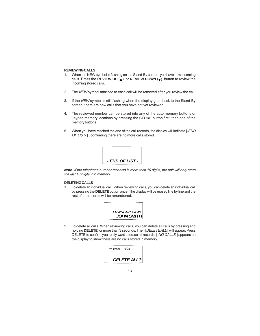#### **REVIEWING CALLS**

- 1. When the NEW symbol is flashing on the Stand-By screen, you have new incoming calls. Press the **REVIEW UP** (A) or **REVIEW DOWN** (v) button to review the incoming stored calls.
- 2. The NEW symbol attached to each call will be removed after you review the call.
- 3. If the NEW symbol is still flashing when the display goes back to the Stand-By screen, there are new calls that you have not yet reviewed.
- 4. The reviewed number can be stored into any of the auto memory buttons or keypad memory locations by pressing the **STORE** button first, then one of the memory buttons
- 5. When you have reached the end of the call records, the display will indicate [-END OF LIST-], confirming there are no more calls stored.



*Note*: If the telephone number received is more than 10 digits, the unit will only store the last 10 digits into memory.

#### **DELETING CALLS**

1. To delete an individual call: When reviewing calls, you can delete an individual call by pressing the **DELETE** button once. The display will be erased line by line and the rest of the records will be renumbered.



2. To delete all calls: When reviewing calls, you can delete all calls by pressing and holding **DELETE** for more than 3 seconds. Then [DELETE ALL]' will appear. Press DELETE to confirm you really want to erase all records. [-NO CALLS-] appears on the display to show there are no calls stored in memory.

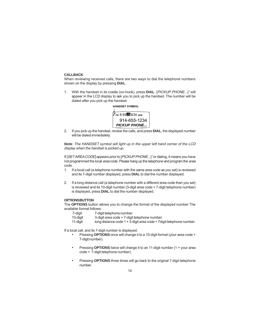#### **CALLBACK**

When reviewing received calls, there are two ways to dial the telephone numbers shown on the display by pressing **DIAL**.

1. With the handset in its cradle (on-hook), press **DIAL**. [PICKUP PHONE...]" will appear in the LCD display to ask you to pick up the handset. The number will be dialed after you pick up the handset.



2. If you pick up the handset, review the calls, and press **DIAL**, the displayed number will be dialed immediately.

*Note*: The HANDSET symbol will light up in the upper left hand corner of the LCD display when the handset is picked up.

If [SET AREA CODE] appears prior to [PICKUP PHONE...]" or dialing, it means you have not programmed the local area code. Please hang up the telephone and program the area code.

- 1. If a local call (a telephone number with the same area code as you set) is reviewed and its 7-digit number displayed, press **DIAL** to dial the number displayed.
- 2. If a long distance call (a telephone number with a different area code than you set) is reviewed and its 10-digit number (3-digit area code + 7-digit telephone number) is displayed, press **DIAL** to dial the number displayed.

#### **OPTIONS BUTTON**

The **OPTIONS** button allows you to change the format of the displayed number The available format follows:

| 7-diait  | 7-digit telephone number.                                               |
|----------|-------------------------------------------------------------------------|
| 10-diait | 3-digit area code + 7-digit telephone number.                           |
| 11-diait | long distance code $1 + 3$ -digit area code + 7 digit telephone number. |

If a local call, and its 7-digit number is displayed:

- Pressing **OPTIONS** once will change it to a 10-digit format (your area code + 7-digit number).
- Pressing **OPTIONS** twice will change it to an 11-digit number (1 + your area code + 7-digit telephone number).
- Pressing **OPTIONS** three times will go back to the original 7-digit telephone number.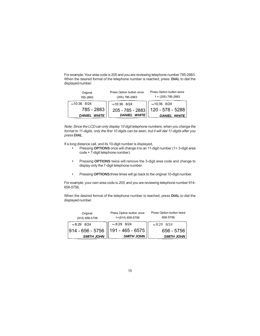For example: Your area code is 205 and you are reviewing telephone number 785-2883. When the desired format of the telephone number is reached, press **DIAL** to dial the displayed number.

| Original<br>785-2883   | Press Option button once<br>(205) 785-2883 | Press Option button twice<br>$1 + (205)$ 785-2883 |  |
|------------------------|--------------------------------------------|---------------------------------------------------|--|
| PM 10:36 8/24          | PM 10:36 8/24                              | PM10:36 8/24                                      |  |
| 785 - 2883             | 205 - 785 - 2883                           | 120 - 578 - 5288                                  |  |
| <b>WHITE</b><br>DANIEL | <b>DANIEL WHITE</b>                        | <b>DANIEL WHITE</b>                               |  |

Note: Since the LCD can only display 10 digit telephone numbers, when you change the format to 11-digits, only the first 10 digits can be seen, but it will dial 11-digits after you press *DIAL*.

If a long distance call, and its 10-digit number is displayed,

- Pressing **OPTIONS** once will change it to an 11-digit number (1+ 3-digit area code + 7-digit telephone number).
- Pressing **OPTIONS** twice will remove the 3-digit area code and change to display only the 7-digit telephone number.
- Pressing **OPTIONS** three times will go back to the original 10-digit number.

For example: your own area code is 205, and you are reviewing telephone number 914- 656-5756.

When the desired format of the telephone number is reached, press **DIAL** to dial the displayed number.

| Original<br>(914) 656-5756 | Press Option button once<br>1+(914) 656-5756 | Press Option button twice<br>656-5756 |
|----------------------------|----------------------------------------------|---------------------------------------|
| PM 8:29 8/24               | PM 8:29 8/24                                 | PM 8:29 8/24                          |
|                            | 914 - 656 - 5756    191 - 465 - 6575         | 656 - 5756                            |
| <b>SMITH JOHN</b>          | <b>SMITH JOHN</b>                            | <b>SMITH JOHN</b>                     |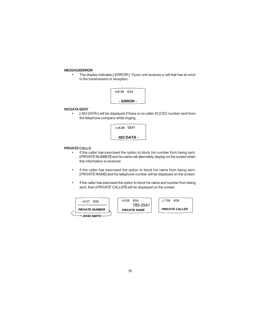#### **MESSAGE ERROR**

• The display indicates [-ERROR-]" if your unit receives a call that has an error in the transmission or reception.



#### **NO DATA SENT**

• [-NO DATA-] will be displayed if there is no caller ID (CID) number sent from the telephone company while ringing.



#### **PRIVATE CALLS**

- If the caller has exercised the option to block his number from being sent, [PRIVATE NUMBER] and his name will alternately display on the screen when this information is received.
- If the caller has exercised the option to block his name from being sent, [PRIVATE NAME] and his telephone number will be displayed on the screen.
- If the caller has exercised the option to block his name and number from being sent, then [PRIVATE CALLER] will be displayed on the screen.

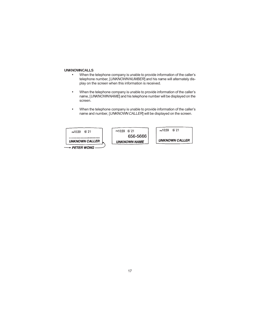#### **UNKNOWN CALLS**

- When the telephone company is unable to provide information of the caller's telephone number, [UNKNOWN NUMBER] and his name will alternately display on the screen when this information is received.
- When the telephone company is unable to provide information of the caller's name, [UNKNOWN NAME] and his telephone number will be displayed on the screen.
- When the telephone company is unable to provide information of the caller's name and number, [UNKNOWN CALLER] will be displayed on the screen.

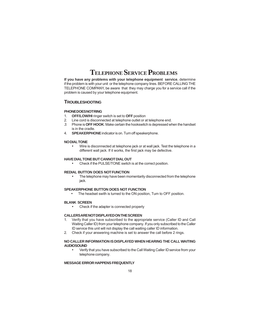## **TELEPHONE SERVICE PROBLEMS**

**If you have any problems with your telephone equipment service**, determine if the problem is with your unit or the telephone company lines. BEFORE CALLING THE TELEPHONE COMPANY, be aware that they may charge you for a service call if the problem is caused by your telephone equipment.

#### **TROUBLESHOOTING**

#### **PHONE DOES NOT RING**

- 1. **OFF/LOW/HI** ringer switch is set to **OFF** position
- 2. Line cord is disconnected at telephone outlet or at telephone end.
- 3. Phone is **OFF HOOK**. Make certain the hookswitch is depressed when the handset is in the cradle.
- 4. **SPEAKERPHONE** indicator is on. Turn off speakerphone.

#### **NO DIAL TONE**

• Wire is disconnected at telephone jack or at wall jack. Test the telephone in a different wall jack. If it works, the first jack may be defective.

#### **HAVE DIAL TONE BUT CANNOT DIAL OUT**

• Check if the PULSE/TONE switch is at the correct position.

#### **REDIAL BUTTON DOES NOT FUNCTION**

The telephone may have been momentarily disconnected from the telephone jack.

#### **SPEAKERPHONE BUTTON DOES NOT FUNCTION**

• The headset swith is turned to the ON position, Turn to OFF position.

#### **BLANK SCREEN**

• Check if the adapter is connected properly

#### **CALLERS ARE NOT DISPLAYED ON THE SCREEN**

- 1. Verify that you have subscribed to the appropriate service (Caller ID and Call Waiting Caller ID) from your telephone company. If you only subscribed to the Caller ID service this unit will not display the call waiting caller ID information.
- 2. Check if your answering machine is set to answer the call before 2 rings.

#### **NO CALLER INFORMATION IS DISPLAYED WHEN HEARING THE CALL WAITING AUDIO SOUND**

• Verify that you have subscribed to the Call Waiting Caller ID service from your telephone company.

#### **MESSAGE ERROR HAPPENS FREQUENTLY**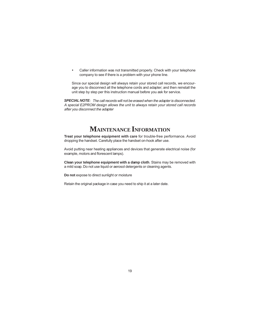• Caller information was not transmitted properly. Check with your telephone company to see if there is a problem with your phone line.

Since our special design will always retain your stored call records, we encourage you to disconnect all the telephone cords and adapter; and then reinstall the unit step by step per this instruction manual before you ask for service.

*SPECIAL NOTE*: The call records will not be erased when the adapter is disconnected. A special E2PROM design allows the unit to always retain your stored call records after you disconnect the adapter

## **MAINTENANCE INFORMATION**

**Treat your telephone equipment with care** for trouble-free performance. Avoid dropping the handset. Carefully place the handset on-hook after use.

Avoid putting near heating appliances and devices that generate electrical noise (for example, motors and florescent lamps).

**Clean your telephone equipment with a damp cloth**. Stains may be removed with a mild soap. Do not use liquid or aerosol detergents or cleaning agents.

**Do not** expose to direct sunlight or moisture

Retain the original package in case you need to ship it at a later date.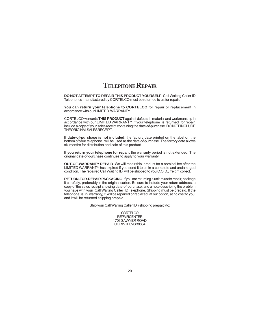## **TELEPHONE REPAIR**

**DO NOT ATTEMPT TO REPAIR THIS PRODUCT YOURSELF**. Call Waiting Caller ID Telephones manufactured by CORTELCO must be returned to us for repair.

You can return your telephone to CORTELCO for repair or replacement in accordance with our LIMITED WARRANTY.

CORTELCO warrants **THIS PRODUCT** against defects in material and workmanship in accordance with our LIMITED WARRANTY. If your telephone is returned for repair, include a copy of your sales receipt containing the date-of-purchase. DO NOT INCLUDE THE ORIGINAL SALES RECEIPT.

**If date-of-purchase is not included**, the factory date printed on the label on the bottom of your telephone will be used as the date-of-purchase. The factory date allows six months for distribution and sale of this product.

**If you return your telephone for repair**, the warranty period is not extended. The original date-of-purchase continues to apply to your warranty.

**OUT-OF-WARRANTY REPAIR** We will repair this product for a nominal fee after the LIMITED WARRANTY has expired if you send it to us in a complete and undamaged condition. The repaired Call Waiting ID will be shipped to you C.O.D., freight collect.

**RETURN-FOR-REPAIR PACKAGING** If you are returning a unit to us for repair, package it carefully, preferably in the original carton. Be sure to include your return address, a copy of the sales receipt showing date-of-purchase, and a note describing the problem you have with your Call Waiting Caller ID Telephone. Shipping must be prepaid. If the telephone is in warranty, it will be repaired or replaced, at our option, at no cost to you, and it will be returned shipping prepaid.

Ship your Call Waiting Caller ID (shipping prepaid) to:

**CORTELCO REPAIRCENTER** 1703 SAWYER ROAD CORINTH, MS 38834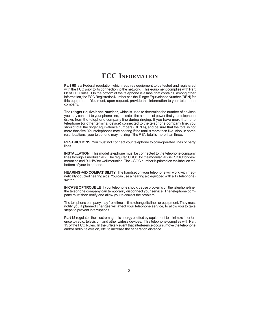## **FCC INFORMATION**

**Part 68** is a Federal regulation which requires equipment to be tested and registered with the FCC prior to its connection to the network. This equipment complies with Part 68 of FCC rules. On the bottom of the telephone is a label that contains, among other information, the FCC Registration Number and the Ringer Equivalence Number (REN) for this equipment. You must, upon request, provide this information to your telephone company.

The **Ringer Equivalence Number**, which is used to determine the number of devices you may connect to your phone line, indicates the amount of power that your telephone draws from the telephone company line during ringing. If you have more than one telephone (or other terminal device) connected to the telephone company line, you should total the ringer equivalence numbers (REN s), and be sure that the total is not more than five. Your telephones may not ring if the total is more than five. Also, in some rural locations, your telephone may not ring if the REN total is more than three.

**RESTRICTIONS** You must not connect your telephone to coin-operated lines or party lines.

**INSTALLATION** This model telephone must be connected to the telephone company lines through a modular jack. The required USOC for the modular jack is RJ11C for desk mounting and RJ11W for wall mounting. The USOC number is printed on the label on the bottom of your telephone.

**HEARING-AID COMPATIBILITY** The handset on your telephone will work with magnetically-coupled hearing aids. You can use a hearing aid equipped with a T (Telephone) switch.

**IN CASE OF TROUBLE** If your telephone should cause problems on the telephone line, the telephone company can temporarily disconnect your service. The telephone company must then notify and allow you to correct the problem.

The telephone company may from time to time change its lines or equipment. They must notify you if planned changes will affect your telephone service, to allow you to take steps to prevent interruptions.

Part 15 regulates the electromagnetic energy emitted by equipment to minimize interference to radio, television, and other wirless devices. This telephone complies with Part 15 of the FCC Rules. In the unlikely event that interference occurs, move the telephone and/or radio, television, etc. to increase the separation distance.